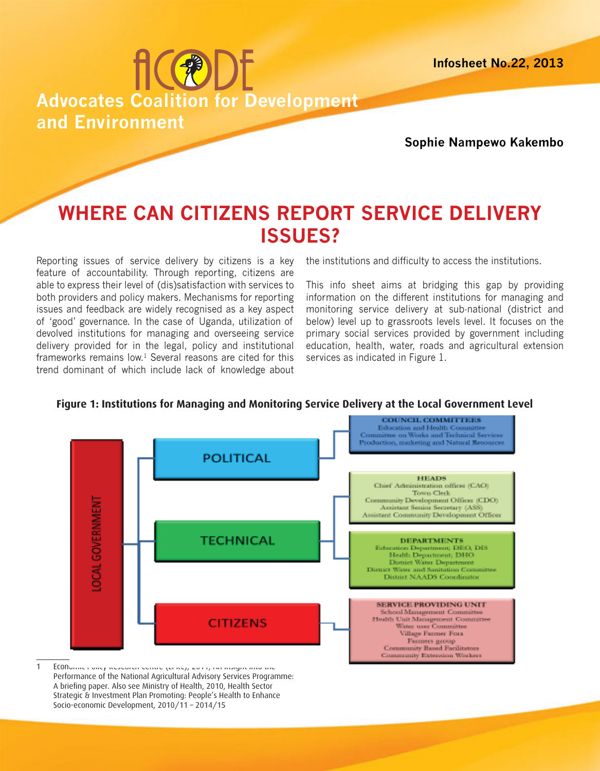**Infosheet No.22, 2013**



**Sophie Nampewo Kakembo**

# **WHERE CAN CITIZENS REPORT SERVICE DELIVERY ISSUES?**

Reporting issues of service delivery by citizens is a key feature of accountability. Through reporting, citizens are able to express their level of (dis)satisfaction with services to both providers and policy makers. Mechanisms for reporting issues and feedback are widely recognised as a key aspect of 'good' governance. In the case of Uganda, utilization of devolved institutions for managing and overseeing service delivery provided for in the legal, policy and institutional frameworks remains low. $1$  Several reasons are cited for this trend dominant of which include lack of knowledge about

the institutions and difficulty to access the institutions.

This info sheet aims at bridging this gap by providing information on the different institutions for managing and monitoring service delivery at sub-national (district and below) level up to grassroots levels level. It focuses on the primary social services provided by government including education, health, water, roads and agricultural extension services as indicated in Figure 1.





1 ECONomic Policy Research Centre (EPRC), 2011, An Insight into the Performance of the National Agricultural Advisory Services Programme: A briefing paper. Also see Ministry of Health, 2010, Health Sector Strategic & Investment Plan Promoting: People's Health to Enhance Socio-economic Development, 2010/11 – 2014/15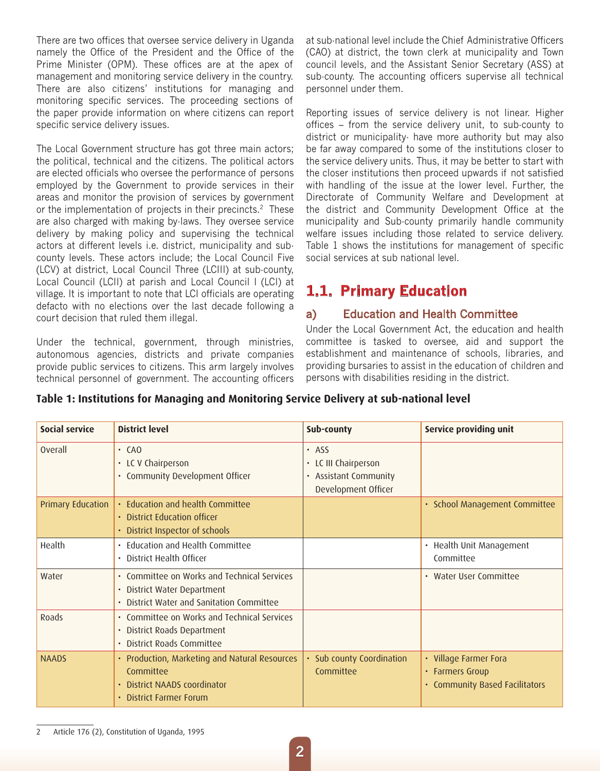There are two offices that oversee service delivery in Uganda namely the Office of the President and the Office of the Prime Minister (OPM). These offices are at the apex of management and monitoring service delivery in the country. There are also citizens' institutions for managing and monitoring specific services. The proceeding sections of the paper provide information on where citizens can report specific service delivery issues.

The Local Government structure has got three main actors; the political, technical and the citizens. The political actors are elected officials who oversee the performance of persons employed by the Government to provide services in their areas and monitor the provision of services by government or the implementation of projects in their precincts.<sup>2</sup> These are also charged with making by-laws. They oversee service delivery by making policy and supervising the technical actors at different levels i.e. district, municipality and subcounty levels. These actors include; the Local Council Five (LCV) at district, Local Council Three (LCIII) at sub-county, Local Council (LCII) at parish and Local Council I (LCI) at village. It is important to note that LCI officials are operating defacto with no elections over the last decade following a court decision that ruled them illegal.

Under the technical, government, through ministries, autonomous agencies, districts and private companies provide public services to citizens. This arm largely involves technical personnel of government. The accounting officers at sub-national level include the Chief Administrative Officers (CAO) at district, the town clerk at municipality and Town council levels, and the Assistant Senior Secretary (ASS) at sub-county. The accounting officers supervise all technical personnel under them.

Reporting issues of service delivery is not linear. Higher offices – from the service delivery unit, to sub-county to district or municipality- have more authority but may also be far away compared to some of the institutions closer to the service delivery units. Thus, it may be better to start with the closer institutions then proceed upwards if not satisfied with handling of the issue at the lower level. Further, the Directorate of Community Welfare and Development at the district and Community Development Office at the municipality and Sub-county primarily handle community welfare issues including those related to service delivery. Table 1 shows the institutions for management of specific social services at sub national level.

# **1.1. Primary Education**

## a) Education and Health Committee

Under the Local Government Act, the education and health committee is tasked to oversee, aid and support the establishment and maintenance of schools, libraries, and providing bursaries to assist in the education of children and persons with disabilities residing in the district.

#### **Table 1: Institutions for Managing and Monitoring Service Delivery at sub-national level**

| Social service           | <b>District level</b>                                                                                                   | Sub-county                                                                    | Service providing unit                                                     |
|--------------------------|-------------------------------------------------------------------------------------------------------------------------|-------------------------------------------------------------------------------|----------------------------------------------------------------------------|
| <b>Overall</b>           | $\cdot$ CAO<br>• LC V Chairperson<br>• Community Development Officer                                                    | $·$ ASS<br>LC III Chairperson<br>• Assistant Community<br>Development Officer |                                                                            |
| <b>Primary Education</b> | · Education and health Committee<br>• District Education officer<br>• District Inspector of schools                     |                                                                               | · School Management Committee                                              |
| Health                   | • Education and Health Committee<br>• District Health Officer                                                           |                                                                               | Health Unit Management<br>Committee                                        |
| Water                    | • Committee on Works and Technical Services<br>· District Water Department<br>• District Water and Sanitation Committee |                                                                               | • Water User Committee                                                     |
| Roads                    | • Committee on Works and Technical Services<br>· District Roads Department<br>• District Roads Committee                |                                                                               |                                                                            |
| <b>NAADS</b>             | • Production, Marketing and Natural Resources<br>Committee<br>• District NAADS coordinator<br>· District Farmer Forum   | • Sub county Coordination<br>Committee                                        | • Village Farmer Fora<br>• Farmers Group<br>• Community Based Facilitators |

2 Article 176 (2), Constitution of Uganda, 1995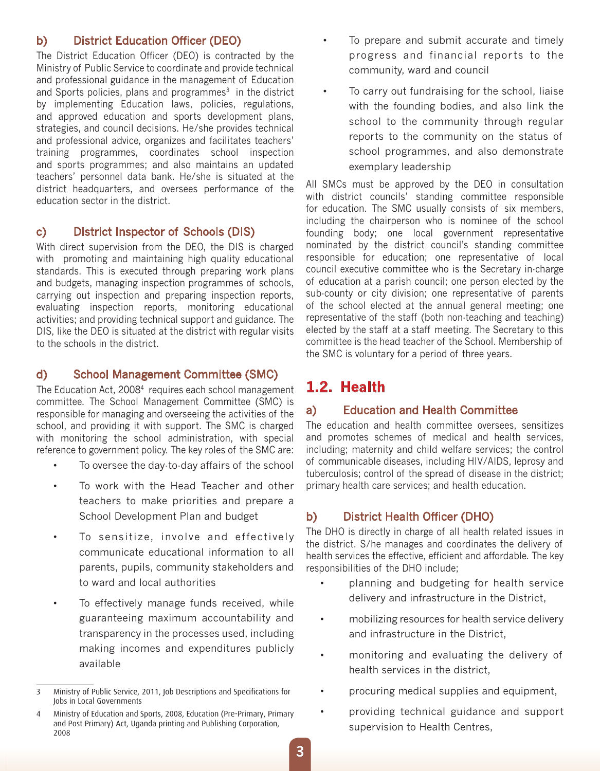#### b) District Education Officer (DEO)

The District Education Officer (DEO) is contracted by the Ministry of Public Service to coordinate and provide technical and professional guidance in the management of Education and Sports policies, plans and programmes $3$  in the district by implementing Education laws, policies, regulations, and approved education and sports development plans, strategies, and council decisions. He/she provides technical and professional advice, organizes and facilitates teachers' training programmes, coordinates school inspection and sports programmes; and also maintains an updated teachers' personnel data bank. He/she is situated at the district headquarters, and oversees performance of the education sector in the district.

#### c) District Inspector of Schools (DIS)

With direct supervision from the DEO, the DIS is charged with promoting and maintaining high quality educational standards. This is executed through preparing work plans and budgets, managing inspection programmes of schools, carrying out inspection and preparing inspection reports, evaluating inspection reports, monitoring educational activities; and providing technical support and guidance. The DIS, like the DEO is situated at the district with regular visits to the schools in the district.

#### d) School Management Committee (SMC)

The Education Act, 2008<sup>4</sup> requires each school management committee. The School Management Committee (SMC) is responsible for managing and overseeing the activities of the school, and providing it with support. The SMC is charged with monitoring the school administration, with special reference to government policy. The key roles of the SMC are:

- To oversee the day-to-day affairs of the school
- To work with the Head Teacher and other teachers to make priorities and prepare a School Development Plan and budget
- To sensitize, involve and effectively communicate educational information to all parents, pupils, community stakeholders and to ward and local authorities
- To effectively manage funds received, while guaranteeing maximum accountability and transparency in the processes used, including making incomes and expenditures publicly available
- To prepare and submit accurate and timely progress and financial reports to the community, ward and council
- To carry out fundraising for the school, liaise with the founding bodies, and also link the school to the community through regular reports to the community on the status of school programmes, and also demonstrate exemplary leadership

All SMCs must be approved by the DEO in consultation with district councils' standing committee responsible for education. The SMC usually consists of six members, including the chairperson who is nominee of the school founding body; one local government representative nominated by the district council's standing committee responsible for education; one representative of local council executive committee who is the Secretary in-charge of education at a parish council; one person elected by the sub-county or city division; one representative of parents of the school elected at the annual general meeting; one representative of the staff (both non-teaching and teaching) elected by the staff at a staff meeting. The Secretary to this committee is the head teacher of the School. Membership of the SMC is voluntary for a period of three years.

# **1.2. Health**

#### a) Education and Health Committee

The education and health committee oversees, sensitizes and promotes schemes of medical and health services, including; maternity and child welfare services; the control of communicable diseases, including HIV/AIDS, leprosy and tuberculosis; control of the spread of disease in the district; primary health care services; and health education.

### b) District Health Officer (DHO)

The DHO is directly in charge of all health related issues in the district. S/he manages and coordinates the delivery of health services the effective, efficient and affordable. The key responsibilities of the DHO include;

- planning and budgeting for health service delivery and infrastructure in the District,
- mobilizing resources for health service delivery and infrastructure in the District,
- monitoring and evaluating the delivery of health services in the district,
- procuring medical supplies and equipment,
- providing technical guidance and support supervision to Health Centres,

<sup>3</sup> Ministry of Public Service, 2011, Job Descriptions and Specifications for Jobs in Local Governments

<sup>4</sup> Ministry of Education and Sports, 2008, Education (Pre-Primary, Primary and Post Primary) Act, Uganda printing and Publishing Corporation, 2008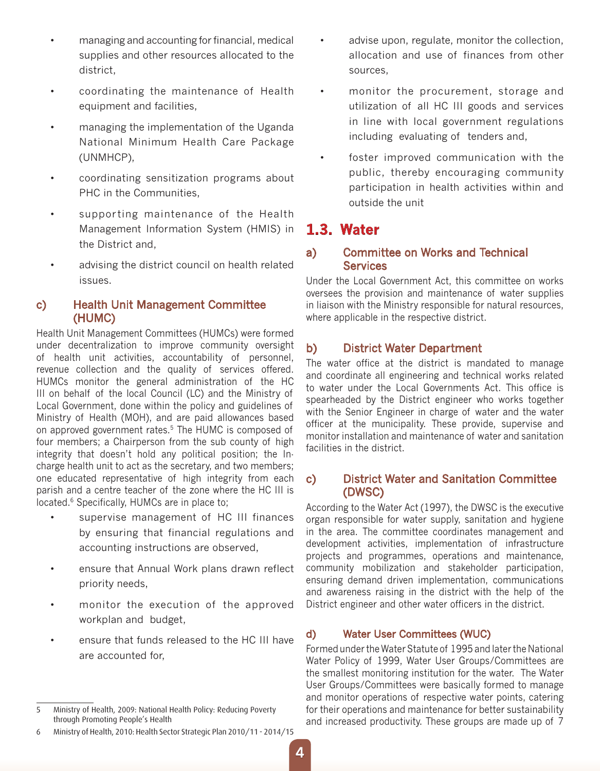- managing and accounting for financial, medical supplies and other resources allocated to the district,
- coordinating the maintenance of Health equipment and facilities,
- managing the implementation of the Uganda National Minimum Health Care Package (UNMHCP),
- coordinating sensitization programs about PHC in the Communities,
- supporting maintenance of the Health Management Information System (HMIS) in the District and,
- advising the district council on health related issues.

#### c) Health Unit Management Committee (HUMC)

Health Unit Management Committees (HUMCs) were formed under decentralization to improve community oversight of health unit activities, accountability of personnel, revenue collection and the quality of services offered. HUMCs monitor the general administration of the HC III on behalf of the local Council (LC) and the Ministry of Local Government, done within the policy and guidelines of Ministry of Health (MOH), and are paid allowances based on approved government rates.<sup>5</sup> The HUMC is composed of four members; a Chairperson from the sub county of high integrity that doesn't hold any political position; the Incharge health unit to act as the secretary, and two members; one educated representative of high integrity from each parish and a centre teacher of the zone where the HC III is located.<sup>6</sup> Specifically, HUMCs are in place to;

- supervise management of HC III finances by ensuring that financial regulations and accounting instructions are observed,
- ensure that Annual Work plans drawn reflect priority needs,
- monitor the execution of the approved workplan and budget,
- ensure that funds released to the HC III have are accounted for,
- advise upon, regulate, monitor the collection, allocation and use of finances from other sources,
- • monitor the procurement, storage and utilization of all HC III goods and services in line with local government regulations including evaluating of tenders and,
- foster improved communication with the public, thereby encouraging community participation in health activities within and outside the unit

# **1.3. Water**

#### a) Committee on Works and Technical **Services**

Under the Local Government Act, this committee on works oversees the provision and maintenance of water supplies in liaison with the Ministry responsible for natural resources, where applicable in the respective district.

### b) District Water Department

The water office at the district is mandated to manage and coordinate all engineering and technical works related to water under the Local Governments Act. This office is spearheaded by the District engineer who works together with the Senior Engineer in charge of water and the water officer at the municipality. These provide, supervise and monitor installation and maintenance of water and sanitation facilities in the district.

#### c) District Water and Sanitation Committee (DWSC)

According to the Water Act (1997), the DWSC is the executive organ responsible for water supply, sanitation and hygiene in the area. The committee coordinates management and development activities, implementation of infrastructure projects and programmes, operations and maintenance, community mobilization and stakeholder participation, ensuring demand driven implementation, communications and awareness raising in the district with the help of the District engineer and other water officers in the district.

#### d) Water User Committees (WUC)

Formed under the Water Statute of 1995 and later the National Water Policy of 1999, Water User Groups/Committees are the smallest monitoring institution for the water. The Water User Groups/Committees were basically formed to manage and monitor operations of respective water points, catering for their operations and maintenance for better sustainability and increased productivity. These groups are made up of 7

<sup>5</sup> Ministry of Health, 2009: National Health Policy: Reducing Poverty through Promoting People's Health

<sup>6</sup> Ministry of Health, 2010: Health Sector Strategic Plan 2010/11 - 2014/15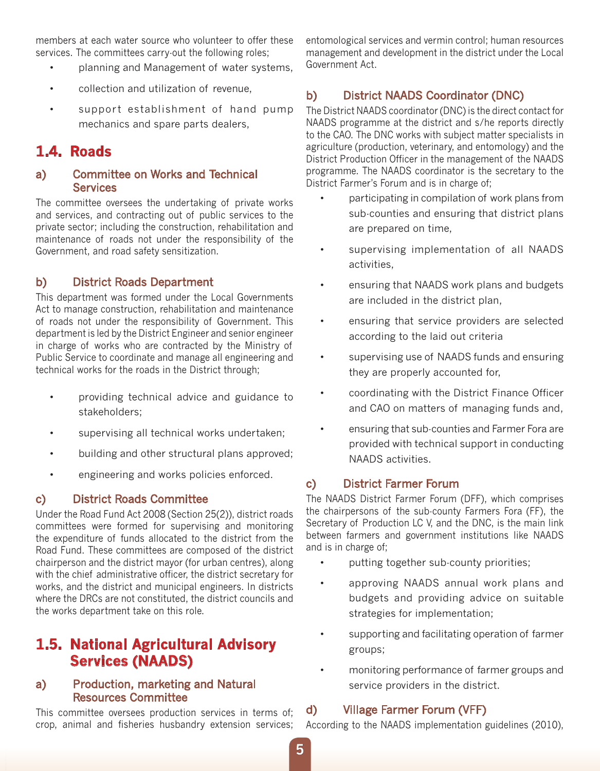members at each water source who volunteer to offer these services. The committees carry-out the following roles;

- • planning and Management of water systems,
- • collection and utilization of revenue,
- support establishment of hand pump mechanics and spare parts dealers,

# **1.4. Roads**

#### a) Committee on Works and Technical **Services**

The committee oversees the undertaking of private works and services, and contracting out of public services to the private sector; including the construction, rehabilitation and maintenance of roads not under the responsibility of the Government, and road safety sensitization.

### b) District Roads Department

This department was formed under the Local Governments Act to manage construction, rehabilitation and maintenance of roads not under the responsibility of Government. This department is led by the District Engineer and senior engineer in charge of works who are contracted by the Ministry of Public Service to coordinate and manage all engineering and technical works for the roads in the District through;

- • providing technical advice and guidance to stakeholders;
- • supervising all technical works undertaken;
- • building and other structural plans approved;
- • engineering and works policies enforced.

#### c) District Roads Committee

Under the Road Fund Act 2008 (Section 25(2)), district roads committees were formed for supervising and monitoring the expenditure of funds allocated to the district from the Road Fund. These committees are composed of the district chairperson and the district mayor (for urban centres), along with the chief administrative officer, the district secretary for works, and the district and municipal engineers. In districts where the DRCs are not constituted, the district councils and the works department take on this role.

# **1.5. National Agricultural Advisory Services (NAADS)**

#### a) Production, marketing and Natural Resources Committee

This committee oversees production services in terms of; crop, animal and fisheries husbandry extension services;

entomological services and vermin control; human resources management and development in the district under the Local Government Act.

# b) District NAADS Coordinator (DNC)

The District NAADS coordinator (DNC) is the direct contact for NAADS programme at the district and s/he reports directly to the CAO. The DNC works with subject matter specialists in agriculture (production, veterinary, and entomology) and the District Production Officer in the management of the NAADS programme. The NAADS coordinator is the secretary to the District Farmer's Forum and is in charge of;

- participating in compilation of work plans from sub-counties and ensuring that district plans are prepared on time,
- supervising implementation of all NAADS activities,
- • ensuring that NAADS work plans and budgets are included in the district plan,
- ensuring that service providers are selected according to the laid out criteria
- supervising use of NAADS funds and ensuring they are properly accounted for,
- coordinating with the District Finance Officer and CAO on matters of managing funds and,
- ensuring that sub-counties and Farmer Fora are provided with technical support in conducting NAADS activities.

### c) District Farmer Forum

The NAADS District Farmer Forum (DFF), which comprises the chairpersons of the sub-county Farmers Fora (FF), the Secretary of Production LC V, and the DNC, is the main link between farmers and government institutions like NAADS and is in charge of;

- • putting together sub-county priorities;
- approving NAADS annual work plans and budgets and providing advice on suitable strategies for implementation;
- supporting and facilitating operation of farmer groups;
- monitoring performance of farmer groups and service providers in the district.

#### d) Village Farmer Forum (VFF)

According to the NAADS implementation guidelines (2010),